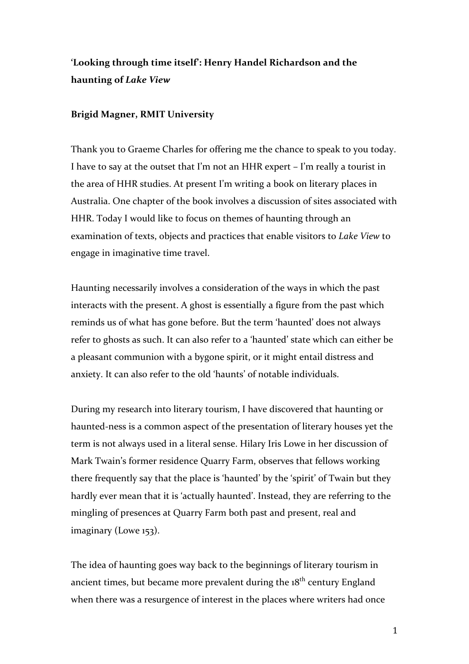# 'Looking through time itself': Henry Handel Richardson and the **haunting of** *Lake View*

#### **Brigid Magner, RMIT University**

Thank you to Graeme Charles for offering me the chance to speak to you today. I have to say at the outset that I'm not an HHR expert  $-$  I'm really a tourist in the area of HHR studies. At present I'm writing a book on literary places in Australia. One chapter of the book involves a discussion of sites associated with HHR. Today I would like to focus on themes of haunting through an examination of texts, objects and practices that enable visitors to *Lake View* to engage in imaginative time travel.

Haunting necessarily involves a consideration of the ways in which the past interacts with the present. A ghost is essentially a figure from the past which reminds us of what has gone before. But the term 'haunted' does not always refer to ghosts as such. It can also refer to a 'haunted' state which can either be a pleasant communion with a bygone spirit, or it might entail distress and anxiety. It can also refer to the old 'haunts' of notable individuals.

During my research into literary tourism, I have discovered that haunting or haunted-ness is a common aspect of the presentation of literary houses yet the term is not always used in a literal sense. Hilary Iris Lowe in her discussion of Mark Twain's former residence Quarry Farm, observes that fellows working there frequently say that the place is 'haunted' by the 'spirit' of Twain but they hardly ever mean that it is 'actually haunted'. Instead, they are referring to the mingling of presences at Quarry Farm both past and present, real and imaginary (Lowe 153).

The idea of haunting goes way back to the beginnings of literary tourism in ancient times, but became more prevalent during the  $18<sup>th</sup>$  century England when there was a resurgence of interest in the places where writers had once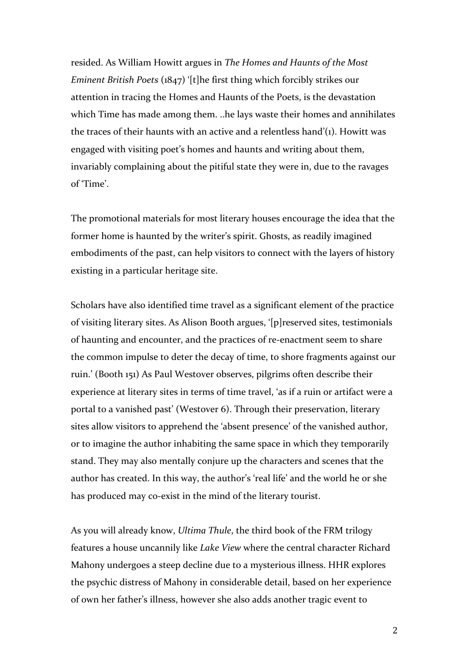resided. As William Howitt argues in *The Homes and Haunts of the Most Eminent British Poets* (1847) '[t]he first thing which forcibly strikes our attention in tracing the Homes and Haunts of the Poets, is the devastation which Time has made among them. ..he lays waste their homes and annihilates the traces of their haunts with an active and a relentless hand'(1). Howitt was engaged with visiting poet's homes and haunts and writing about them, invariably complaining about the pitiful state they were in, due to the ravages of 'Time'.

The promotional materials for most literary houses encourage the idea that the former home is haunted by the writer's spirit. Ghosts, as readily imagined embodiments of the past, can help visitors to connect with the layers of history existing in a particular heritage site.

Scholars have also identified time travel as a significant element of the practice of visiting literary sites. As Alison Booth argues, '[p]reserved sites, testimonials of haunting and encounter, and the practices of re-enactment seem to share the common impulse to deter the decay of time, to shore fragments against our ruin.' (Booth 151) As Paul Westover observes, pilgrims often describe their experience at literary sites in terms of time travel, 'as if a ruin or artifact were a portal to a vanished past' (Westover 6). Through their preservation, literary sites allow visitors to apprehend the 'absent presence' of the vanished author, or to imagine the author inhabiting the same space in which they temporarily stand. They may also mentally conjure up the characters and scenes that the author has created. In this way, the author's 'real life' and the world he or she has produced may co-exist in the mind of the literary tourist.

As you will already know, *Ultima Thule*, the third book of the FRM trilogy features a house uncannily like *Lake View* where the central character Richard Mahony undergoes a steep decline due to a mysterious illness. HHR explores the psychic distress of Mahony in considerable detail, based on her experience of own her father's illness, however she also adds another tragic event to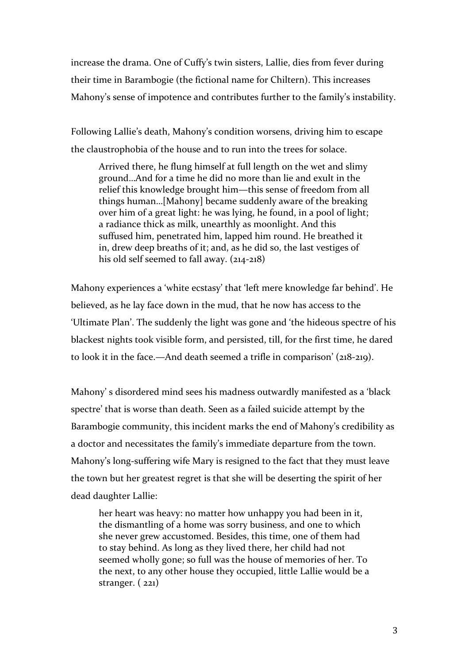increase the drama. One of Cuffy's twin sisters, Lallie, dies from fever during their time in Barambogie (the fictional name for Chiltern). This increases Mahony's sense of impotence and contributes further to the family's instability.

Following Lallie's death, Mahony's condition worsens, driving him to escape the claustrophobia of the house and to run into the trees for solace.

Arrived there, he flung himself at full length on the wet and slimy ground...And for a time he did no more than lie and exult in the relief this knowledge brought him—this sense of freedom from all things human...[Mahony] became suddenly aware of the breaking over him of a great light: he was lying, he found, in a pool of light; a radiance thick as milk, unearthly as moonlight. And this suffused him, penetrated him, lapped him round. He breathed it in, drew deep breaths of it; and, as he did so, the last vestiges of his old self seemed to fall away.  $(214-218)$ 

Mahony experiences a 'white ecstasy' that 'left mere knowledge far behind'. He believed, as he lay face down in the mud, that he now has access to the 'Ultimate Plan'. The suddenly the light was gone and 'the hideous spectre of his blackest nights took visible form, and persisted, till, for the first time, he dared to look it in the face.—And death seemed a trifle in comparison'  $(218-219)$ .

Mahony's disordered mind sees his madness outwardly manifested as a 'black spectre' that is worse than death. Seen as a failed suicide attempt by the Barambogie community, this incident marks the end of Mahony's credibility as a doctor and necessitates the family's immediate departure from the town. Mahony's long-suffering wife Mary is resigned to the fact that they must leave the town but her greatest regret is that she will be deserting the spirit of her dead daughter Lallie:

her heart was heavy: no matter how unhappy you had been in it, the dismantling of a home was sorry business, and one to which she never grew accustomed. Besides, this time, one of them had to stay behind. As long as they lived there, her child had not seemed wholly gone; so full was the house of memories of her. To the next, to any other house they occupied, little Lallie would be a stranger.  $(221)$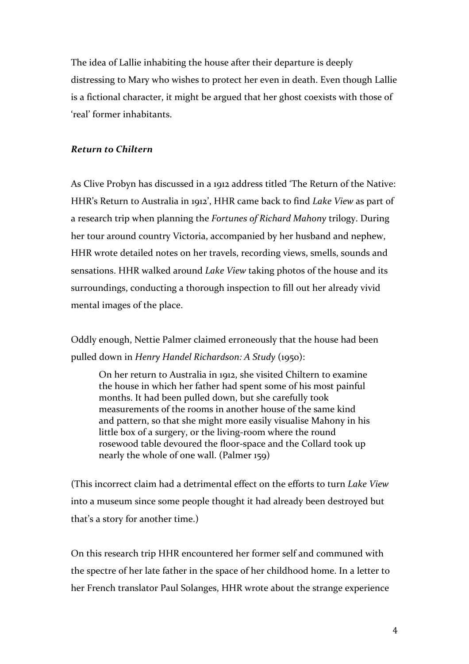The idea of Lallie inhabiting the house after their departure is deeply distressing to Mary who wishes to protect her even in death. Even though Lallie is a fictional character, it might be argued that her ghost coexists with those of 'real' former inhabitants.

### *Return to Chiltern*

As Clive Probyn has discussed in a 1912 address titled 'The Return of the Native: HHR's Return to Australia in 1912', HHR came back to find *Lake View* as part of a research trip when planning the *Fortunes of Richard Mahony* trilogy. During her tour around country Victoria, accompanied by her husband and nephew, HHR wrote detailed notes on her travels, recording views, smells, sounds and sensations. HHR walked around *Lake View* taking photos of the house and its surroundings, conducting a thorough inspection to fill out her already vivid mental images of the place.

Oddly enough, Nettie Palmer claimed erroneously that the house had been pulled down in *Henry Handel Richardson: A Study* (1950):

On her return to Australia in 1912, she visited Chiltern to examine the house in which her father had spent some of his most painful months. It had been pulled down, but she carefully took measurements of the rooms in another house of the same kind and pattern, so that she might more easily visualise Mahony in his little box of a surgery, or the living-room where the round rosewood table devoured the floor-space and the Collard took up nearly the whole of one wall. (Palmer 159)

(This incorrect claim had a detrimental effect on the efforts to turn *Lake View* into a museum since some people thought it had already been destroyed but that's a story for another time.)

On this research trip HHR encountered her former self and communed with the spectre of her late father in the space of her childhood home. In a letter to her French translator Paul Solanges, HHR wrote about the strange experience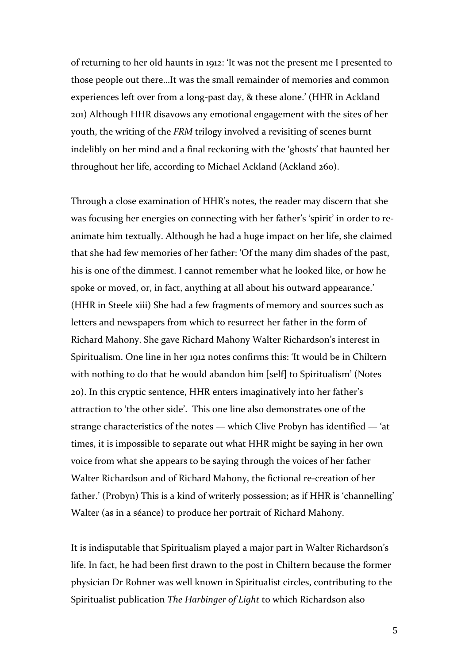of returning to her old haunts in 1912: 'It was not the present me I presented to those people out there...It was the small remainder of memories and common experiences left over from a long-past day, & these alone.' (HHR in Ackland 201) Although HHR disavows any emotional engagement with the sites of her youth, the writing of the *FRM* trilogy involved a revisiting of scenes burnt indelibly on her mind and a final reckoning with the 'ghosts' that haunted her throughout her life, according to Michael Ackland (Ackland 260).

Through a close examination of HHR's notes, the reader may discern that she was focusing her energies on connecting with her father's 'spirit' in order to reanimate him textually. Although he had a huge impact on her life, she claimed that she had few memories of her father: 'Of the many dim shades of the past, his is one of the dimmest. I cannot remember what he looked like, or how he spoke or moved, or, in fact, anything at all about his outward appearance.' (HHR in Steele xiii) She had a few fragments of memory and sources such as letters and newspapers from which to resurrect her father in the form of Richard Mahony. She gave Richard Mahony Walter Richardson's interest in Spiritualism. One line in her 1912 notes confirms this: 'It would be in Chiltern with nothing to do that he would abandon him [self] to Spiritualism' (Notes 20). In this cryptic sentence, HHR enters imaginatively into her father's attraction to 'the other side'. This one line also demonstrates one of the strange characteristics of the notes — which Clive Probyn has identified — 'at times, it is impossible to separate out what HHR might be saying in her own voice from what she appears to be saying through the voices of her father Walter Richardson and of Richard Mahony, the fictional re-creation of her father.' (Probyn) This is a kind of writerly possession; as if HHR is 'channelling' Walter (as in a séance) to produce her portrait of Richard Mahony.

It is indisputable that Spiritualism played a major part in Walter Richardson's life. In fact, he had been first drawn to the post in Chiltern because the former physician Dr Rohner was well known in Spiritualist circles, contributing to the Spiritualist publication *The Harbinger of Light* to which Richardson also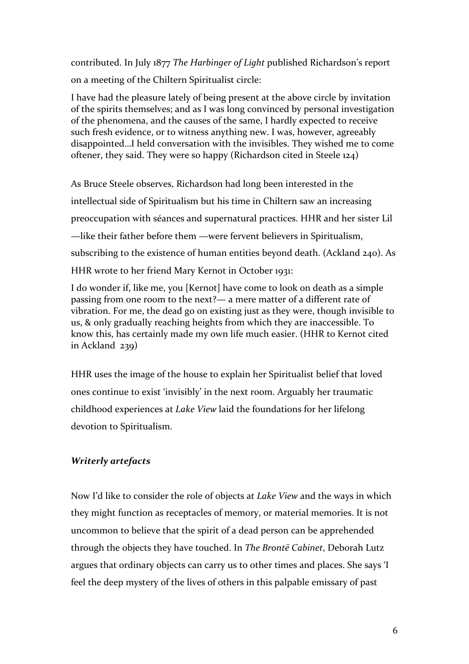contributed. In July 1877 The Harbinger of Light published Richardson's report on a meeting of the Chiltern Spiritualist circle:

I have had the pleasure lately of being present at the above circle by invitation of the spirits themselves; and as I was long convinced by personal investigation of the phenomena, and the causes of the same, I hardly expected to receive such fresh evidence, or to witness anything new. I was, however, agreeably disappointed...I held conversation with the invisibles. They wished me to come oftener, they said. They were so happy (Richardson cited in Steele  $124$ )

As Bruce Steele observes, Richardson had long been interested in the intellectual side of Spiritualism but his time in Chiltern saw an increasing preoccupation with séances and supernatural practices. HHR and her sister Lil —like their father before them —were fervent believers in Spiritualism, subscribing to the existence of human entities beyond death. (Ackland 240). As HHR wrote to her friend Mary Kernot in October 1931:

I do wonder if, like me, you [Kernot] have come to look on death as a simple passing from one room to the next?— a mere matter of a different rate of vibration. For me, the dead go on existing just as they were, though invisible to us, & only gradually reaching heights from which they are inaccessible. To know this, has certainly made my own life much easier. (HHR to Kernot cited in Ackland  $239$ )

HHR uses the image of the house to explain her Spiritualist belief that loved ones continue to exist 'invisibly' in the next room. Arguably her traumatic childhood experiences at *Lake View* laid the foundations for her lifelong devotion to Spiritualism.

## *Writerly artefacts*

Now I'd like to consider the role of objects at *Lake View* and the ways in which they might function as receptacles of memory, or material memories. It is not uncommon to believe that the spirit of a dead person can be apprehended through the objects they have touched. In *The Brontë Cabinet*, Deborah Lutz argues that ordinary objects can carry us to other times and places. She says 'I feel the deep mystery of the lives of others in this palpable emissary of past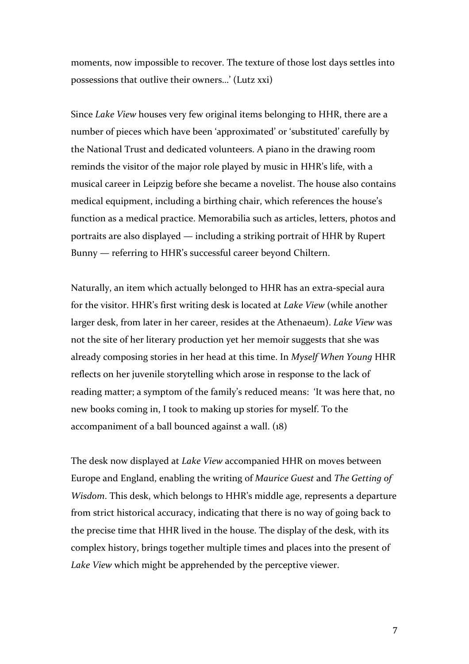moments, now impossible to recover. The texture of those lost days settles into possessions that outlive their owners...' (Lutz xxi)

Since *Lake View* houses very few original items belonging to HHR, there are a number of pieces which have been 'approximated' or 'substituted' carefully by the National Trust and dedicated volunteers. A piano in the drawing room reminds the visitor of the major role played by music in HHR's life, with a musical career in Leipzig before she became a novelist. The house also contains medical equipment, including a birthing chair, which references the house's function as a medical practice. Memorabilia such as articles, letters, photos and portraits are also displayed — including a striking portrait of HHR by Rupert Bunny — referring to HHR's successful career beyond Chiltern.

Naturally, an item which actually belonged to HHR has an extra-special aura for the visitor. HHR's first writing desk is located at *Lake View* (while another larger desk, from later in her career, resides at the Athenaeum). *Lake View* was not the site of her literary production yet her memoir suggests that she was already composing stories in her head at this time. In *Myself When Young* HHR reflects on her juvenile storytelling which arose in response to the lack of reading matter; a symptom of the family's reduced means: 'It was here that, no new books coming in, I took to making up stories for myself. To the accompaniment of a ball bounced against a wall. (18)

The desk now displayed at *Lake View* accompanied HHR on moves between Europe and England, enabling the writing of *Maurice Guest* and *The Getting of Wisdom*. This desk, which belongs to HHR's middle age, represents a departure from strict historical accuracy, indicating that there is no way of going back to the precise time that HHR lived in the house. The display of the desk, with its complex history, brings together multiple times and places into the present of Lake View which might be apprehended by the perceptive viewer.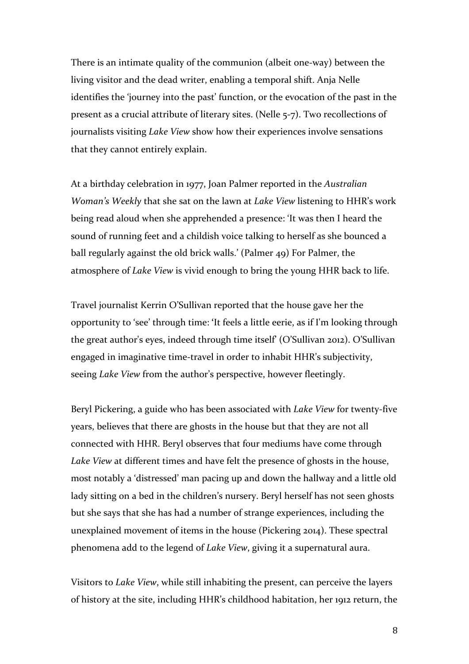There is an intimate quality of the communion (albeit one-way) between the living visitor and the dead writer, enabling a temporal shift. Anja Nelle identifies the 'journey into the past' function, or the evocation of the past in the present as a crucial attribute of literary sites. (Nelle 5-7). Two recollections of journalists visiting *Lake View* show how their experiences involve sensations that they cannot entirely explain.

At a birthday celebration in 1977, Joan Palmer reported in the Australian *Woman's* Weekly that she sat on the lawn at *Lake View* listening to HHR's work being read aloud when she apprehended a presence: 'It was then I heard the sound of running feet and a childish voice talking to herself as she bounced a ball regularly against the old brick walls.' (Palmer 49) For Palmer, the atmosphere of *Lake View* is vivid enough to bring the young HHR back to life.

Travel journalist Kerrin O'Sullivan reported that the house gave her the opportunity to 'see' through time: 'It feels a little eerie, as if I'm looking through the great author's eyes, indeed through time itself' (O'Sullivan 2012). O'Sullivan engaged in imaginative time-travel in order to inhabit HHR's subjectivity, seeing *Lake View* from the author's perspective, however fleetingly.

Beryl Pickering, a guide who has been associated with *Lake View* for twenty-five years, believes that there are ghosts in the house but that they are not all connected with HHR. Beryl observes that four mediums have come through *Lake View* at different times and have felt the presence of ghosts in the house, most notably a 'distressed' man pacing up and down the hallway and a little old lady sitting on a bed in the children's nursery. Beryl herself has not seen ghosts but she says that she has had a number of strange experiences, including the unexplained movement of items in the house (Pickering 2014). These spectral phenomena add to the legend of *Lake View*, giving it a supernatural aura.

Visitors to *Lake View*, while still inhabiting the present, can perceive the layers of history at the site, including HHR's childhood habitation, her 1912 return, the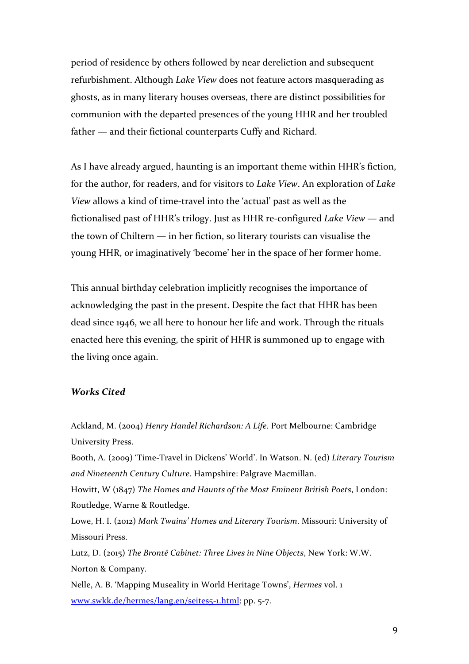period of residence by others followed by near dereliction and subsequent refurbishment. Although *Lake View* does not feature actors masquerading as ghosts, as in many literary houses overseas, there are distinct possibilities for communion with the departed presences of the young HHR and her troubled  $father$  — and their fictional counterparts Cuffy and Richard.

As I have already argued, haunting is an important theme within HHR's fiction, for the author, for readers, and for visitors to *Lake View*. An exploration of *Lake View* allows a kind of time-travel into the 'actual' past as well as the fictionalised past of HHR's trilogy. Just as HHR re-configured *Lake View* — and the town of Chiltern  $-$  in her fiction, so literary tourists can visualise the young HHR, or imaginatively 'become' her in the space of her former home.

This annual birthday celebration implicitly recognises the importance of acknowledging the past in the present. Despite the fact that HHR has been dead since 1946, we all here to honour her life and work. Through the rituals enacted here this evening, the spirit of HHR is summoned up to engage with the living once again.

#### *Works Cited*

Ackland, M. (2004) *Henry Handel Richardson: A Life*. Port Melbourne: Cambridge University Press.

Booth, A. (2009) 'Time-Travel in Dickens' World'. In Watson. N. (ed) *Literary Tourism* and Nineteenth Century Culture. Hampshire: Palgrave Macmillan.

Howitt, W (1847) *The Homes and Haunts of the Most Eminent British Poets*, London: Routledge, Warne & Routledge.

Lowe, H. I. (2012) Mark Twains' Homes and Literary Tourism. Missouri: University of Missouri Press.

Lutz, D. (2015) *The Brontë Cabinet: Three Lives in Nine Objects*, New York: W.W. Norton & Company.

Nelle, A. B. 'Mapping Museality in World Heritage Towns', *Hermes* vol. 1 www.swkk.de/hermes/lang.en/seites5-1.html: pp. 5-7.